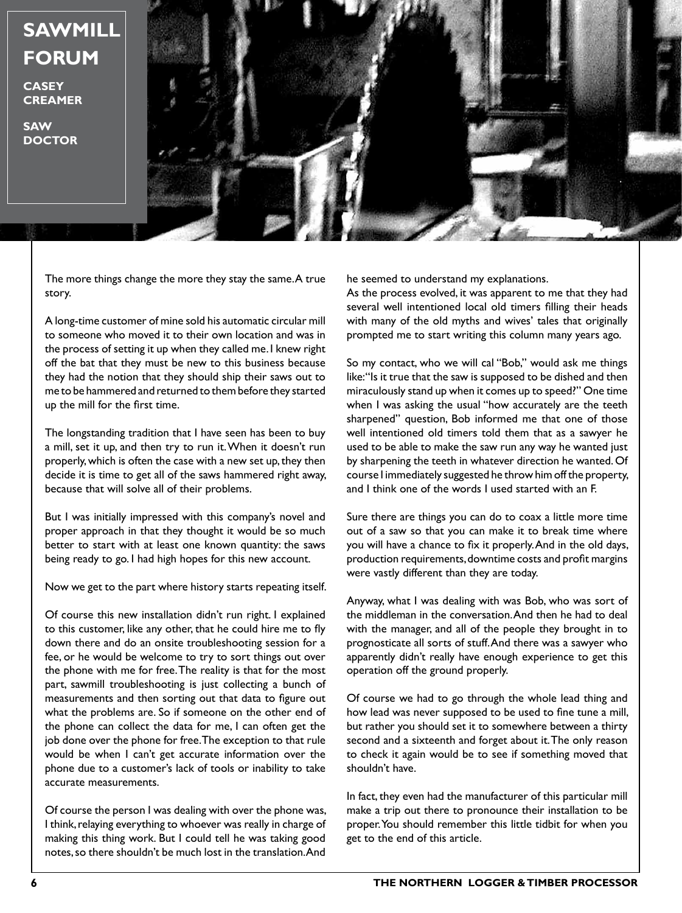## **SAWMILL FORUM**

**CASEY CREAMER**

**SAW DOCTOR**



The more things change the more they stay the same. A true story.

A long-time customer of mine sold his automatic circular mill to someone who moved it to their own location and was in the process of setting it up when they called me. I knew right off the bat that they must be new to this business because they had the notion that they should ship their saws out to me to be hammered and returned to them before they started up the mill for the first time.

The longstanding tradition that I have seen has been to buy a mill, set it up, and then try to run it. When it doesn't run properly, which is often the case with a new set up, they then decide it is time to get all of the saws hammered right away, because that will solve all of their problems.

But I was initially impressed with this company's novel and proper approach in that they thought it would be so much better to start with at least one known quantity: the saws being ready to go. I had high hopes for this new account.

Now we get to the part where history starts repeating itself.

Of course this new installation didn't run right. I explained to this customer, like any other, that he could hire me to fly down there and do an onsite troubleshooting session for a fee, or he would be welcome to try to sort things out over the phone with me for free. The reality is that for the most part, sawmill troubleshooting is just collecting a bunch of measurements and then sorting out that data to figure out what the problems are. So if someone on the other end of the phone can collect the data for me, I can often get the job done over the phone for free. The exception to that rule would be when I can't get accurate information over the phone due to a customer's lack of tools or inability to take accurate measurements.

Of course the person I was dealing with over the phone was, I think, relaying everything to whoever was really in charge of making this thing work. But I could tell he was taking good notes, so there shouldn't be much lost in the translation. And

he seemed to understand my explanations.

As the process evolved, it was apparent to me that they had several well intentioned local old timers filling their heads with many of the old myths and wives' tales that originally prompted me to start writing this column many years ago.

So my contact, who we will cal "Bob," would ask me things like: "Is it true that the saw is supposed to be dished and then miraculously stand up when it comes up to speed?" One time when I was asking the usual "how accurately are the teeth sharpened" question, Bob informed me that one of those well intentioned old timers told them that as a sawyer he used to be able to make the saw run any way he wanted just by sharpening the teeth in whatever direction he wanted. Of course I immediately suggested he throw him off the property, and I think one of the words I used started with an F.

Sure there are things you can do to coax a little more time out of a saw so that you can make it to break time where you will have a chance to fix it properly. And in the old days, production requirements, downtime costs and profit margins were vastly different than they are today.

Anyway, what I was dealing with was Bob, who was sort of the middleman in the conversation. And then he had to deal with the manager, and all of the people they brought in to prognosticate all sorts of stuff. And there was a sawyer who apparently didn't really have enough experience to get this operation off the ground properly.

Of course we had to go through the whole lead thing and how lead was never supposed to be used to fine tune a mill, but rather you should set it to somewhere between a thirty second and a sixteenth and forget about it. The only reason to check it again would be to see if something moved that shouldn't have.

In fact, they even had the manufacturer of this particular mill make a trip out there to pronounce their installation to be proper. You should remember this little tidbit for when you get to the end of this article.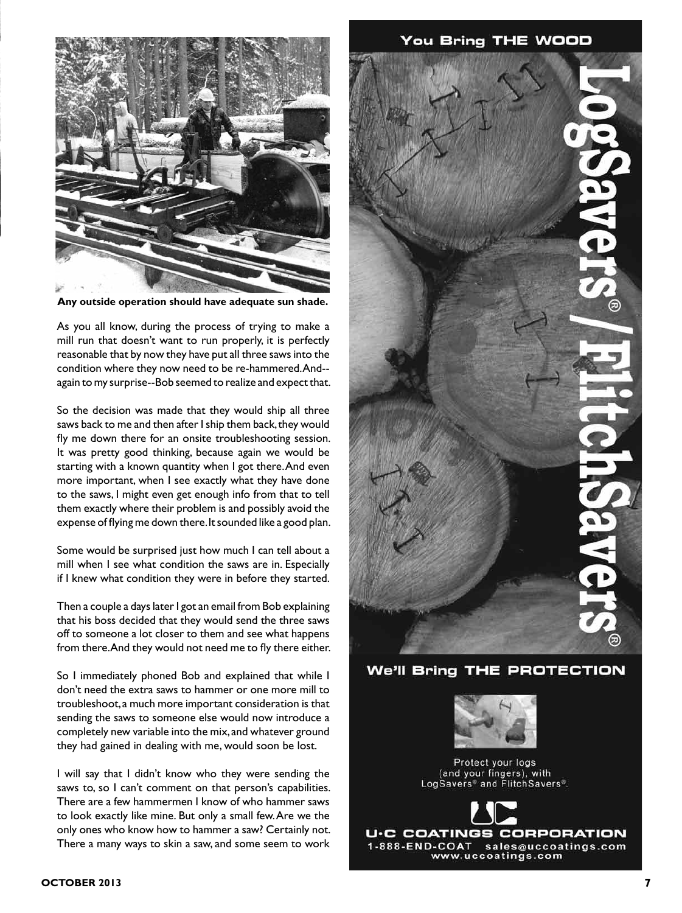

**Any outside operation should have adequate sun shade.**

As you all know, during the process of trying to make a mill run that doesn't want to run properly, it is perfectly reasonable that by now they have put all three saws into the condition where they now need to be re-hammered. And- again to my surprise--Bob seemed to realize and expect that.

So the decision was made that they would ship all three saws back to me and then after I ship them back, they would fly me down there for an onsite troubleshooting session. It was pretty good thinking, because again we would be starting with a known quantity when I got there. And even more important, when I see exactly what they have done to the saws, I might even get enough info from that to tell them exactly where their problem is and possibly avoid the expense of flying me down there. It sounded like a good plan.

Some would be surprised just how much I can tell about a mill when I see what condition the saws are in. Especially if I knew what condition they were in before they started.

Then a couple a days later I got an email from Bob explaining that his boss decided that they would send the three saws off to someone a lot closer to them and see what happens from there. And they would not need me to fly there either.

So I immediately phoned Bob and explained that while I don't need the extra saws to hammer or one more mill to troubleshoot, a much more important consideration is that sending the saws to someone else would now introduce a completely new variable into the mix, and whatever ground they had gained in dealing with me, would soon be lost.

I will say that I didn't know who they were sending the saws to, so I can't comment on that person's capabilities. There are a few hammermen I know of who hammer saws to look exactly like mine. But only a small few. Are we the only ones who know how to hammer a saw? Certainly not. There a many ways to skin a saw, and some seem to work



**We'll Bring THE PROTECTION** 



Protect your logs (and your fingers), with LogSavers<sup>®</sup> and FlitchSavers<sup>®</sup>.